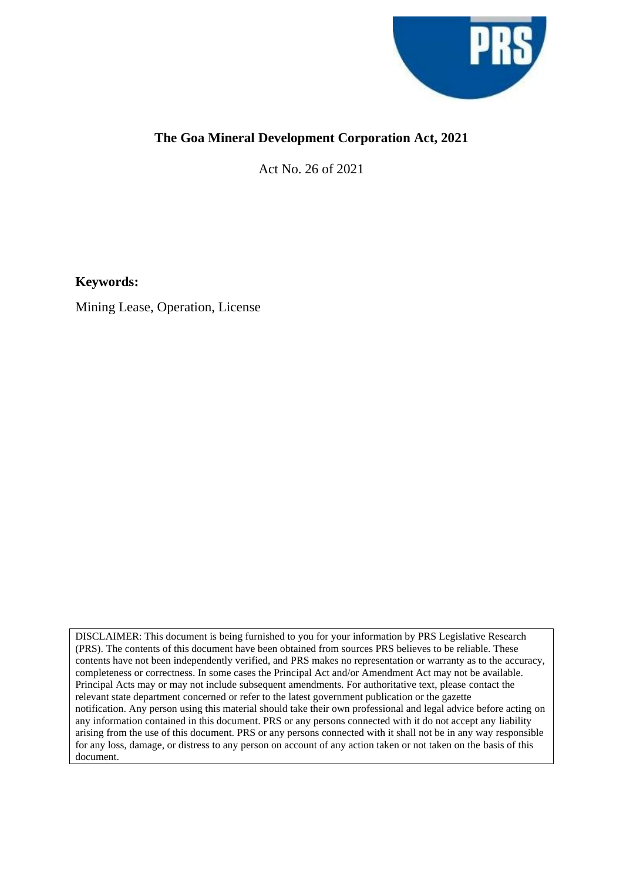

# **The Goa Mineral Development Corporation Act, 2021**

Act No. 26 of 2021

**Keywords:**

Mining Lease, Operation, License

DISCLAIMER: This document is being furnished to you for your information by PRS Legislative Research (PRS). The contents of this document have been obtained from sources PRS believes to be reliable. These contents have not been independently verified, and PRS makes no representation or warranty as to the accuracy, completeness or correctness. In some cases the Principal Act and/or Amendment Act may not be available. Principal Acts may or may not include subsequent amendments. For authoritative text, please contact the relevant state department concerned or refer to the latest government publication or the gazette notification. Any person using this material should take their own professional and legal advice before acting on any information contained in this document. PRS or any persons connected with it do not accept any liability arising from the use of this document. PRS or any persons connected with it shall not be in any way responsible for any loss, damage, or distress to any person on account of any action taken or not taken on the basis of this document.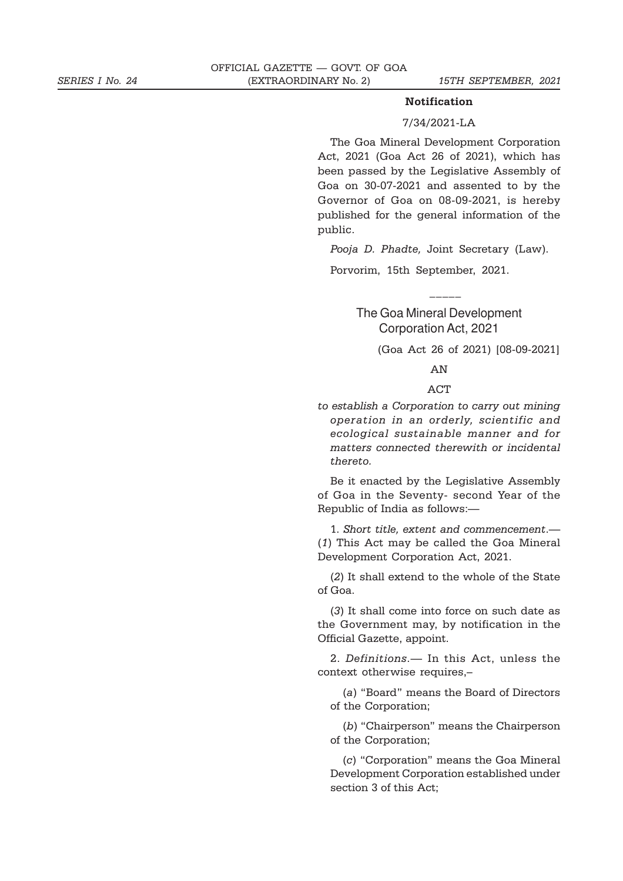#### **Notification**

### 7/34/2021-LA

The Goa Mineral Development Corporation Act, 2021 (Goa Act 26 of 2021), which has been passed by the Legislative Assembly of Goa on 30-07-2021 and assented to by the Governor of Goa on 08-09-2021, is hereby published for the general information of the public.

*Pooja D. Phadte,* Joint Secretary (Law).

Porvorim, 15th September, 2021.

## The Goa Mineral Development Corporation Act, 2021

\_\_\_\_\_

(Goa Act 26 of 2021) [08-09-2021]

AN

### **ACT**

*to establish a Corporation to carry out mining operation in an orderly, scientific and ecological sustainable manner and for matters connected therewith or incidental thereto.*

Be it enacted by the Legislative Assembly of Goa in the Seventy- second Year of the Republic of India as follows:—

1. *Short title, extent and commencement*.— (*1*) This Act may be called the Goa Mineral Development Corporation Act, 2021.

(*2*) It shall extend to the whole of the State of Goa.

(*3*) It shall come into force on such date as the Government may, by notification in the Official Gazette, appoint.

2. *Definitions*.— In this Act, unless the context otherwise requires,–

(*a*) "Board" means the Board of Directors of the Corporation;

(*b*) "Chairperson" means the Chairperson of the Corporation;

(*c*) "Corporation" means the Goa Mineral Development Corporation established under section 3 of this Act;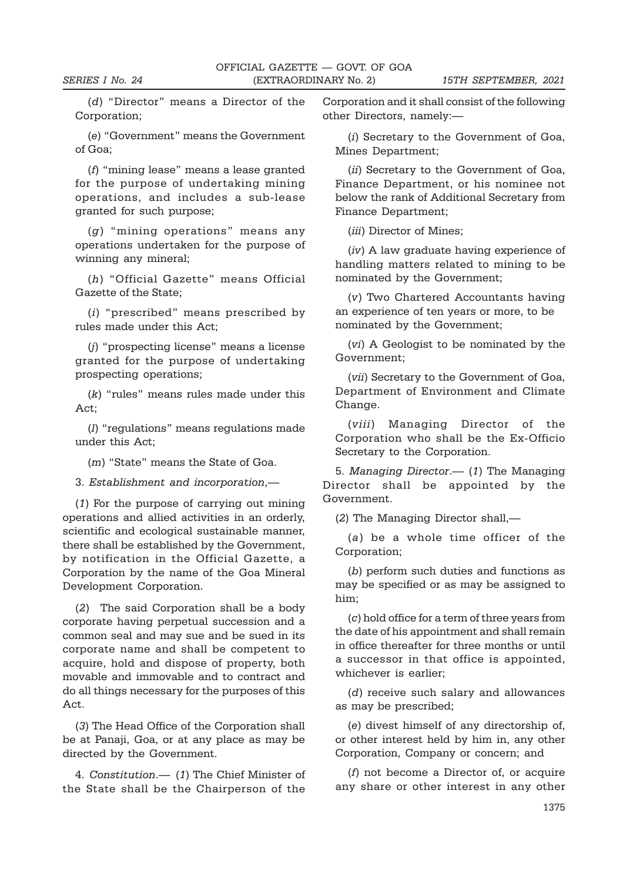(*d*) "Director" means a Director of the Corporation;

(*e*) "Government" means the Government of Goa;

(*f*) "mining lease" means a lease granted for the purpose of undertaking mining operations, and includes a sub-lease granted for such purpose;

(*g*) "mining operations" means any operations undertaken for the purpose of winning any mineral;

(*h*) "Official Gazette" means Official Gazette of the State;

(*i*) "prescribed" means prescribed by rules made under this Act;

(*j*) "prospecting license" means a license granted for the purpose of undertaking prospecting operations;

(*k*) "rules" means rules made under this Act;

(*l*) "regulations" means regulations made under this Act;

(*m*) "State" means the State of Goa.

3. *Establishment and incorporation*,—

(*1*) For the purpose of carrying out mining operations and allied activities in an orderly, scientific and ecological sustainable manner, there shall be established by the Government, by notification in the Official Gazette, a Corporation by the name of the Goa Mineral Development Corporation.

(*2*) The said Corporation shall be a body corporate having perpetual succession and a common seal and may sue and be sued in its corporate name and shall be competent to acquire, hold and dispose of property, both movable and immovable and to contract and do all things necessary for the purposes of this Act.

(*3*) The Head Office of the Corporation shall be at Panaji, Goa, or at any place as may be directed by the Government.

4. *Constitution*.— (*1*) The Chief Minister of the State shall be the Chairperson of the Corporation and it shall consist of the following other Directors, namely:—

(*i*) Secretary to the Government of Goa, Mines Department;

(*ii*) Secretary to the Government of Goa, Finance Department, or his nominee not below the rank of Additional Secretary from Finance Department;

(*iii*) Director of Mines;

(*iv*) A law graduate having experience of handling matters related to mining to be nominated by the Government;

(*v*) Two Chartered Accountants having an experience of ten years or more, to be nominated by the Government;

(*vi*) A Geologist to be nominated by the Government;

(*vii*) Secretary to the Government of Goa, Department of Environment and Climate Change.

(*viii*) Managing Director of the Corporation who shall be the Ex-Officio Secretary to the Corporation.

5. *Managing Director*.— (*1*) The Managing Director shall be appointed by the Government.

(*2*) The Managing Director shall,—

(*a*) be a whole time officer of the Corporation;

(*b*) perform such duties and functions as may be specified or as may be assigned to him;

(*c*) hold office for a term of three years from the date of his appointment and shall remain in office thereafter for three months or until a successor in that office is appointed, whichever is earlier;

(*d*) receive such salary and allowances as may be prescribed;

(*e*) divest himself of any directorship of, or other interest held by him in, any other Corporation, Company or concern; and

(*f*) not become a Director of, or acquire any share or other interest in any other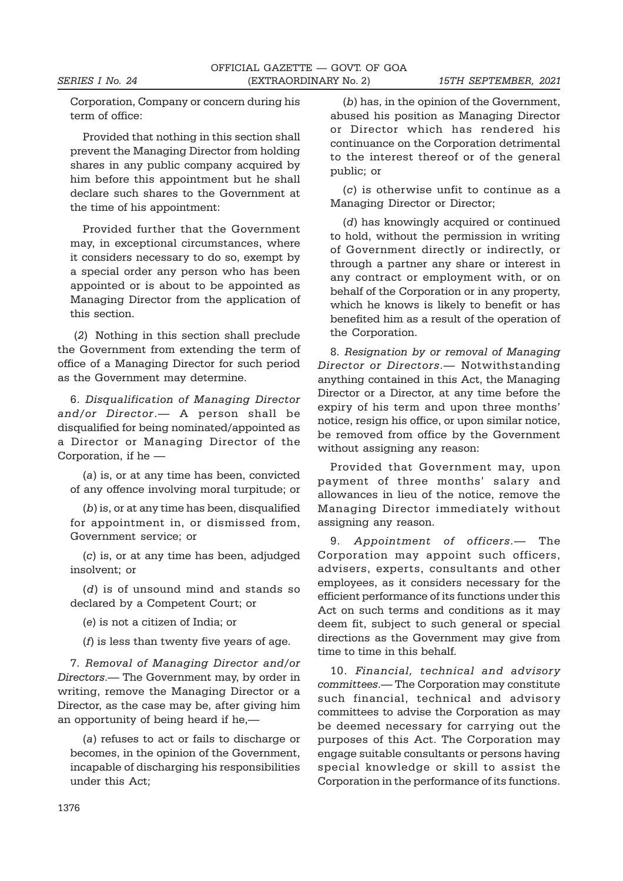Corporation, Company or concern during his term of office:

Provided that nothing in this section shall prevent the Managing Director from holding shares in any public company acquired by him before this appointment but he shall declare such shares to the Government at the time of his appointment:

Provided further that the Government may, in exceptional circumstances, where it considers necessary to do so, exempt by a special order any person who has been appointed or is about to be appointed as Managing Director from the application of this section.

 (*2*) Nothing in this section shall preclude the Government from extending the term of office of a Managing Director for such period as the Government may determine.

6. *Disqualification of Managing Director and/or Director*.— A person shall be disqualified for being nominated/appointed as a Director or Managing Director of the Corporation, if he —

(*a*) is, or at any time has been, convicted of any offence involving moral turpitude; or

(*b*) is, or at any time has been, disqualified for appointment in, or dismissed from, Government service; or

(*c*) is, or at any time has been, adjudged insolvent; or

(*d*) is of unsound mind and stands so declared by a Competent Court; or

(*e*) is not a citizen of India; or

(*f*) is less than twenty five years of age.

7. *Removal of Managing Director and/or Directors*.— The Government may, by order in writing, remove the Managing Director or a Director, as the case may be, after giving him an opportunity of being heard if he,—

(*a*) refuses to act or fails to discharge or becomes, in the opinion of the Government, incapable of discharging his responsibilities under this Act;

(*b*) has, in the opinion of the Government, abused his position as Managing Director or Director which has rendered his continuance on the Corporation detrimental to the interest thereof or of the general public; or

(*c*) is otherwise unfit to continue as a Managing Director or Director;

(*d*) has knowingly acquired or continued to hold, without the permission in writing of Government directly or indirectly, or through a partner any share or interest in any contract or employment with, or on behalf of the Corporation or in any property, which he knows is likely to benefit or has benefited him as a result of the operation of the Corporation.

8. *Resignation by or removal of Managing Director or Directors*.— Notwithstanding anything contained in this Act, the Managing Director or a Director, at any time before the expiry of his term and upon three months' notice, resign his office, or upon similar notice, be removed from office by the Government without assigning any reason:

Provided that Government may, upon payment of three months' salary and allowances in lieu of the notice, remove the Managing Director immediately without assigning any reason.

9. *Appointment of officers*.— The Corporation may appoint such officers, advisers, experts, consultants and other employees, as it considers necessary for the efficient performance of its functions under this Act on such terms and conditions as it may deem fit, subject to such general or special directions as the Government may give from time to time in this behalf.

10. *Financial, technical and advisory committees*.— The Corporation may constitute such financial, technical and advisory committees to advise the Corporation as may be deemed necessary for carrying out the purposes of this Act. The Corporation may engage suitable consultants or persons having special knowledge or skill to assist the Corporation in the performance of its functions.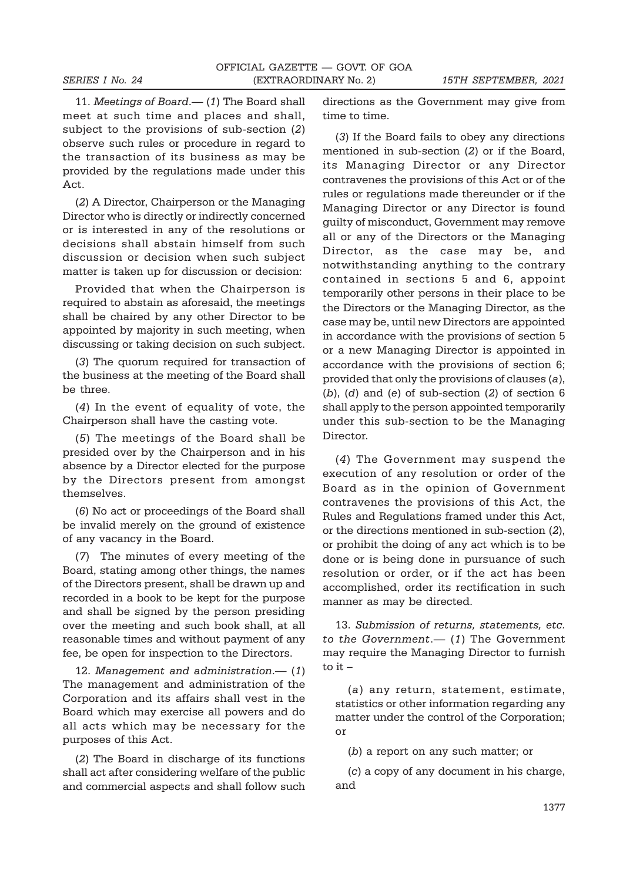11. *Meetings of Board*.— (*1*) The Board shall meet at such time and places and shall, subject to the provisions of sub-section (*2*) observe such rules or procedure in regard to the transaction of its business as may be provided by the regulations made under this Act.

(*2*) A Director, Chairperson or the Managing Director who is directly or indirectly concerned or is interested in any of the resolutions or decisions shall abstain himself from such discussion or decision when such subject matter is taken up for discussion or decision:

Provided that when the Chairperson is required to abstain as aforesaid, the meetings shall be chaired by any other Director to be appointed by majority in such meeting, when discussing or taking decision on such subject.

(*3*) The quorum required for transaction of the business at the meeting of the Board shall be three.

(*4*) In the event of equality of vote, the Chairperson shall have the casting vote.

(*5*) The meetings of the Board shall be presided over by the Chairperson and in his absence by a Director elected for the purpose by the Directors present from amongst themselves.

(*6*) No act or proceedings of the Board shall be invalid merely on the ground of existence of any vacancy in the Board.

(*7*) The minutes of every meeting of the Board, stating among other things, the names of the Directors present, shall be drawn up and recorded in a book to be kept for the purpose and shall be signed by the person presiding over the meeting and such book shall, at all reasonable times and without payment of any fee, be open for inspection to the Directors.

12. *Management and administration*.— (*1*) The management and administration of the Corporation and its affairs shall vest in the Board which may exercise all powers and do all acts which may be necessary for the purposes of this Act.

(*2*) The Board in discharge of its functions shall act after considering welfare of the public and commercial aspects and shall follow such

directions as the Government may give from time to time.

(*3*) If the Board fails to obey any directions mentioned in sub-section (*2*) or if the Board, its Managing Director or any Director contravenes the provisions of this Act or of the rules or regulations made thereunder or if the Managing Director or any Director is found guilty of misconduct, Government may remove all or any of the Directors or the Managing Director, as the case may be, and notwithstanding anything to the contrary contained in sections 5 and 6, appoint temporarily other persons in their place to be the Directors or the Managing Director, as the case may be, until new Directors are appointed in accordance with the provisions of section 5 or a new Managing Director is appointed in accordance with the provisions of section 6; provided that only the provisions of clauses (*a*), (*b*), (*d*) and (*e*) of sub-section (*2*) of section 6 shall apply to the person appointed temporarily under this sub-section to be the Managing Director.

(*4*) The Government may suspend the execution of any resolution or order of the Board as in the opinion of Government contravenes the provisions of this Act, the Rules and Regulations framed under this Act, or the directions mentioned in sub-section (*2*), or prohibit the doing of any act which is to be done or is being done in pursuance of such resolution or order, or if the act has been accomplished, order its rectification in such manner as may be directed.

13. *Submission of returns, statements, etc. to the Government*.— (*1*) The Government may require the Managing Director to furnish to it –

(*a*) any return, statement, estimate, statistics or other information regarding any matter under the control of the Corporation; or

(*b*) a report on any such matter; or

(*c*) a copy of any document in his charge, and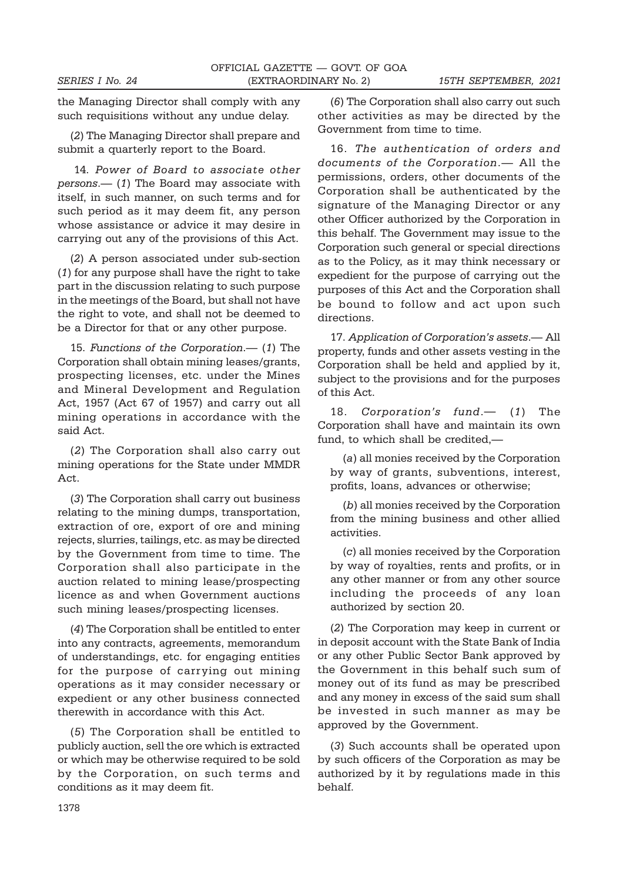the Managing Director shall comply with any such requisitions without any undue delay.

(*2*) The Managing Director shall prepare and submit a quarterly report to the Board.

 14. *Power of Board to associate other persons*.— (*1*) The Board may associate with itself, in such manner, on such terms and for such period as it may deem fit, any person whose assistance or advice it may desire in carrying out any of the provisions of this Act.

(*2*) A person associated under sub-section (*1*) for any purpose shall have the right to take part in the discussion relating to such purpose in the meetings of the Board, but shall not have the right to vote, and shall not be deemed to be a Director for that or any other purpose.

15. *Functions of the Corporation*.— (*1*) The Corporation shall obtain mining leases/grants, prospecting licenses, etc. under the Mines and Mineral Development and Regulation Act, 1957 (Act 67 of 1957) and carry out all mining operations in accordance with the said Act.

(*2*) The Corporation shall also carry out mining operations for the State under MMDR Act.

(*3*) The Corporation shall carry out business relating to the mining dumps, transportation, extraction of ore, export of ore and mining rejects, slurries, tailings, etc. as may be directed by the Government from time to time. The Corporation shall also participate in the auction related to mining lease/prospecting licence as and when Government auctions such mining leases/prospecting licenses.

(*4*) The Corporation shall be entitled to enter into any contracts, agreements, memorandum of understandings, etc. for engaging entities for the purpose of carrying out mining operations as it may consider necessary or expedient or any other business connected therewith in accordance with this Act.

(*5*) The Corporation shall be entitled to publicly auction, sell the ore which is extracted or which may be otherwise required to be sold by the Corporation, on such terms and conditions as it may deem fit.

(*6*) The Corporation shall also carry out such other activities as may be directed by the Government from time to time.

16. *The authentication of orders and documents of the Corporation*.— All the permissions, orders, other documents of the Corporation shall be authenticated by the signature of the Managing Director or any other Officer authorized by the Corporation in this behalf. The Government may issue to the Corporation such general or special directions as to the Policy, as it may think necessary or expedient for the purpose of carrying out the purposes of this Act and the Corporation shall be bound to follow and act upon such directions.

17. *Application of Corporation's assets*.— All property, funds and other assets vesting in the Corporation shall be held and applied by it, subject to the provisions and for the purposes of this Act.

18. *Corporation's fund*.— (*1*) The Corporation shall have and maintain its own fund, to which shall be credited,—

(*a*) all monies received by the Corporation by way of grants, subventions, interest, profits, loans, advances or otherwise;

(*b*) all monies received by the Corporation from the mining business and other allied activities.

(*c*) all monies received by the Corporation by way of royalties, rents and profits, or in any other manner or from any other source including the proceeds of any loan authorized by section 20.

(*2*) The Corporation may keep in current or in deposit account with the State Bank of India or any other Public Sector Bank approved by the Government in this behalf such sum of money out of its fund as may be prescribed and any money in excess of the said sum shall be invested in such manner as may be approved by the Government.

(*3*) Such accounts shall be operated upon by such officers of the Corporation as may be authorized by it by regulations made in this behalf.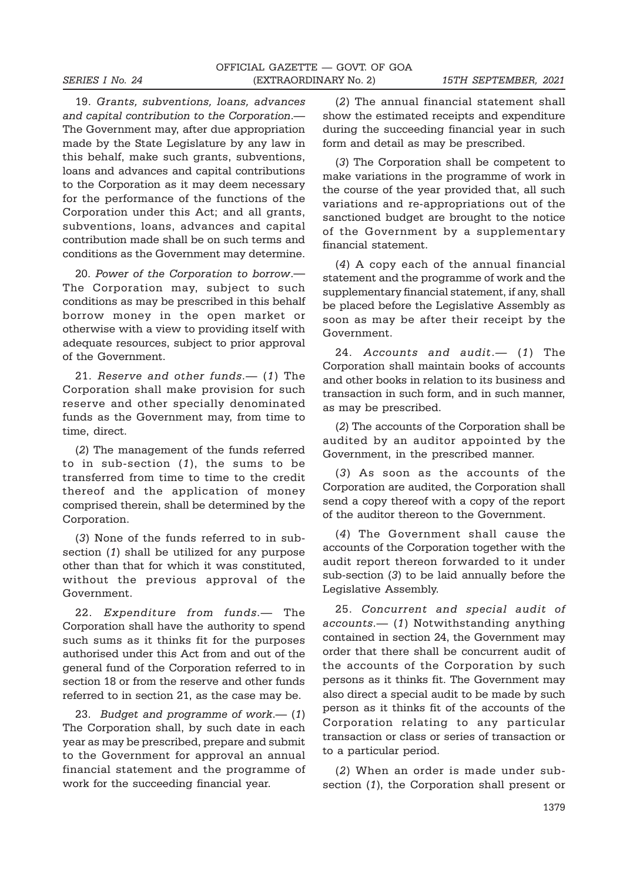19. *Grants, subventions, loans, advances and capital contribution to the Corporation*.— The Government may, after due appropriation made by the State Legislature by any law in this behalf, make such grants, subventions, loans and advances and capital contributions to the Corporation as it may deem necessary for the performance of the functions of the Corporation under this Act; and all grants, subventions, loans, advances and capital contribution made shall be on such terms and conditions as the Government may determine.

20. *Power of the Corporation to borrow*.— The Corporation may, subject to such conditions as may be prescribed in this behalf borrow money in the open market or otherwise with a view to providing itself with adequate resources, subject to prior approval of the Government.

21. *Reserve and other funds*.— (*1*) The Corporation shall make provision for such reserve and other specially denominated funds as the Government may, from time to time, direct.

(*2*) The management of the funds referred to in sub-section (*1*), the sums to be transferred from time to time to the credit thereof and the application of money comprised therein, shall be determined by the Corporation.

(*3*) None of the funds referred to in subsection (*1*) shall be utilized for any purpose other than that for which it was constituted, without the previous approval of the Government.

22. *Expenditure from funds*.— The Corporation shall have the authority to spend such sums as it thinks fit for the purposes authorised under this Act from and out of the general fund of the Corporation referred to in section 18 or from the reserve and other funds referred to in section 21, as the case may be.

23. *Budget and programme of work*.— (*1*) The Corporation shall, by such date in each year as may be prescribed, prepare and submit to the Government for approval an annual financial statement and the programme of work for the succeeding financial year.

(*2*) The annual financial statement shall show the estimated receipts and expenditure during the succeeding financial year in such form and detail as may be prescribed.

(*3*) The Corporation shall be competent to make variations in the programme of work in the course of the year provided that, all such variations and re-appropriations out of the sanctioned budget are brought to the notice of the Government by a supplementary financial statement.

(*4*) A copy each of the annual financial statement and the programme of work and the supplementary financial statement, if any, shall be placed before the Legislative Assembly as soon as may be after their receipt by the Government.

24. *Accounts and audit*.— (*1*) The Corporation shall maintain books of accounts and other books in relation to its business and transaction in such form, and in such manner, as may be prescribed.

(*2*) The accounts of the Corporation shall be audited by an auditor appointed by the Government, in the prescribed manner.

(*3*) As soon as the accounts of the Corporation are audited, the Corporation shall send a copy thereof with a copy of the report of the auditor thereon to the Government.

(*4*) The Government shall cause the accounts of the Corporation together with the audit report thereon forwarded to it under sub-section (*3*) to be laid annually before the Legislative Assembly.

25. *Concurrent and special audit of accounts*.— (*1*) Notwithstanding anything contained in section 24, the Government may order that there shall be concurrent audit of the accounts of the Corporation by such persons as it thinks fit. The Government may also direct a special audit to be made by such person as it thinks fit of the accounts of the Corporation relating to any particular transaction or class or series of transaction or to a particular period.

(*2*) When an order is made under subsection (*1*), the Corporation shall present or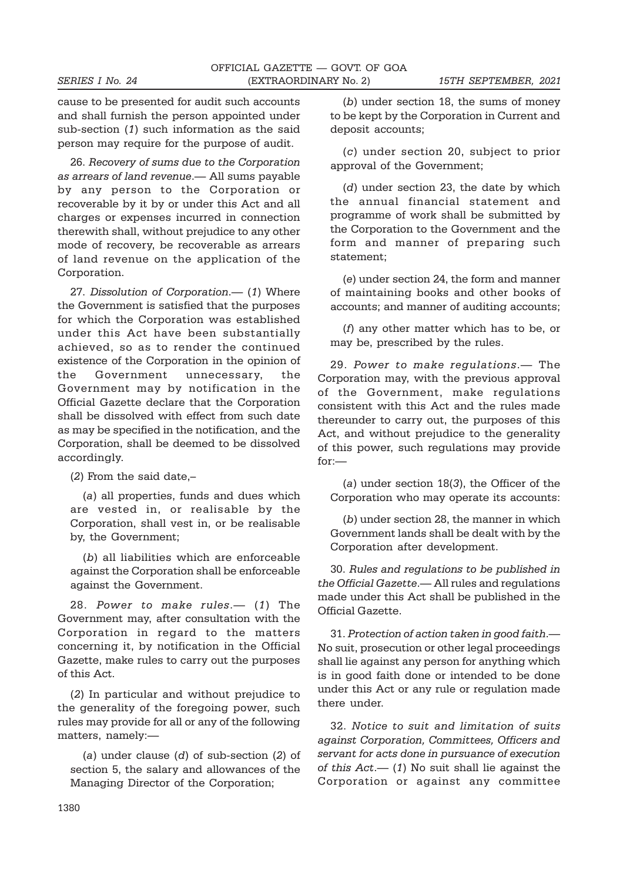cause to be presented for audit such accounts and shall furnish the person appointed under sub-section (*1*) such information as the said person may require for the purpose of audit.

26. *Recovery of sums due to the Corporation as arrears of land revenue*.— All sums payable by any person to the Corporation or recoverable by it by or under this Act and all charges or expenses incurred in connection therewith shall, without prejudice to any other mode of recovery, be recoverable as arrears of land revenue on the application of the Corporation.

27. *Dissolution of Corporation*.— (*1*) Where the Government is satisfied that the purposes for which the Corporation was established under this Act have been substantially achieved, so as to render the continued existence of the Corporation in the opinion of the Government unnecessary, the Government may by notification in the Official Gazette declare that the Corporation shall be dissolved with effect from such date as may be specified in the notification, and the Corporation, shall be deemed to be dissolved accordingly.

(*2*) From the said date,–

(*a*) all properties, funds and dues which are vested in, or realisable by the Corporation, shall vest in, or be realisable by, the Government;

(*b*) all liabilities which are enforceable against the Corporation shall be enforceable against the Government.

28. *Power to make rules*.— (*1*) The Government may, after consultation with the Corporation in regard to the matters concerning it, by notification in the Official Gazette, make rules to carry out the purposes of this Act.

(*2*) In particular and without prejudice to the generality of the foregoing power, such rules may provide for all or any of the following matters, namely:—

(*a*) under clause (*d*) of sub-section (*2*) of section 5, the salary and allowances of the Managing Director of the Corporation;

(*b*) under section 18, the sums of money to be kept by the Corporation in Current and deposit accounts;

(*c*) under section 20, subject to prior approval of the Government;

(*d*) under section 23, the date by which the annual financial statement and programme of work shall be submitted by the Corporation to the Government and the form and manner of preparing such statement;

(*e*) under section 24, the form and manner of maintaining books and other books of accounts; and manner of auditing accounts;

(*f*) any other matter which has to be, or may be, prescribed by the rules.

29. *Power to make regulations*.— The Corporation may, with the previous approval of the Government, make regulations consistent with this Act and the rules made thereunder to carry out, the purposes of this Act, and without prejudice to the generality of this power, such regulations may provide for:—

(*a*) under section 18(*3*), the Officer of the Corporation who may operate its accounts:

(*b*) under section 28, the manner in which Government lands shall be dealt with by the Corporation after development.

30. *Rules and regulations to be published in the Official Gazette*.— All rules and regulations made under this Act shall be published in the Official Gazette.

31. *Protection of action taken in good faith*.— No suit, prosecution or other legal proceedings shall lie against any person for anything which is in good faith done or intended to be done under this Act or any rule or regulation made there under.

32. *Notice to suit and limitation of suits against Corporation, Committees, Officers and servant for acts done in pursuance of execution of this Act*.— (*1*) No suit shall lie against the Corporation or against any committee